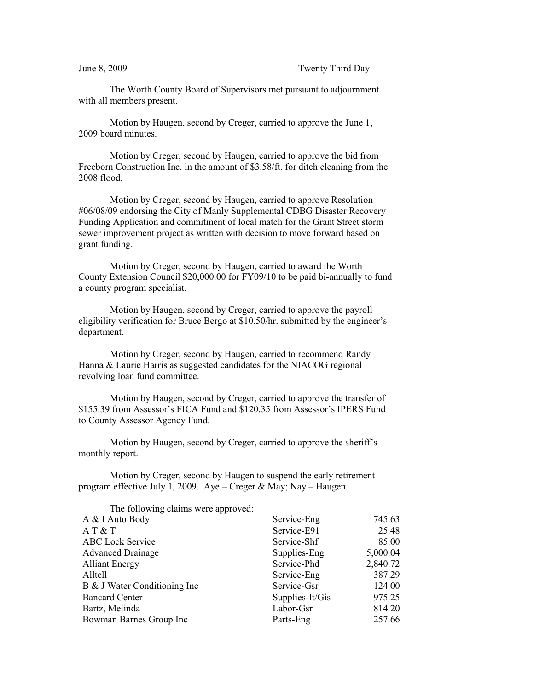## June 8, 2009 Twenty Third Day

The Worth County Board of Supervisors met pursuant to adjournment with all members present.

Motion by Haugen, second by Creger, carried to approve the June 1, 2009 board minutes.

Motion by Creger, second by Haugen, carried to approve the bid from Freeborn Construction Inc. in the amount of \$3.58/ft. for ditch cleaning from the 2008 flood.

Motion by Creger, second by Haugen, carried to approve Resolution #06/08/09 endorsing the City of Manly Supplemental CDBG Disaster Recovery Funding Application and commitment of local match for the Grant Street storm sewer improvement project as written with decision to move forward based on grant funding.

Motion by Creger, second by Haugen, carried to award the Worth County Extension Council \$20,000.00 for FY09/10 to be paid bi-annually to fund a county program specialist.

Motion by Haugen, second by Creger, carried to approve the payroll eligibility verification for Bruce Bergo at \$10.50/hr. submitted by the engineer's department.

Motion by Creger, second by Haugen, carried to recommend Randy Hanna & Laurie Harris as suggested candidates for the NIACOG regional revolving loan fund committee.

Motion by Haugen, second by Creger, carried to approve the transfer of \$155.39 from Assessor's FICA Fund and \$120.35 from Assessor's IPERS Fund to County Assessor Agency Fund.

Motion by Haugen, second by Creger, carried to approve the sheriff's monthly report.

Motion by Creger, second by Haugen to suspend the early retirement program effective July 1, 2009. Aye – Creger & May; Nay – Haugen.

| The following claims were approved: |                 |          |
|-------------------------------------|-----------------|----------|
| A & I Auto Body                     | Service-Eng     | 745.63   |
| AT&T                                | Service-E91     | 25.48    |
| <b>ABC</b> Lock Service             | Service-Shf     | 85.00    |
| <b>Advanced Drainage</b>            | Supplies-Eng    | 5,000.04 |
| <b>Alliant Energy</b>               | Service-Phd     | 2,840.72 |
| Alltell                             | Service-Eng     | 387.29   |
| B & J Water Conditioning Inc        | Service-Gsr     | 124.00   |
| <b>Bancard Center</b>               | Supplies-It/Gis | 975.25   |
| Bartz, Melinda                      | Labor-Gsr       | 814.20   |
| Bowman Barnes Group Inc             | Parts-Eng       | 257.66   |
|                                     |                 |          |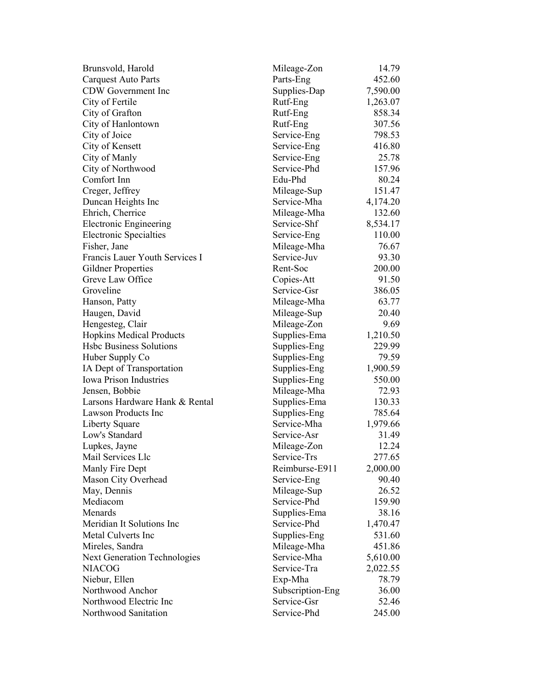| Brunsvold, Harold                   | Mileage-Zon      | 14.79    |
|-------------------------------------|------------------|----------|
| <b>Carquest Auto Parts</b>          | Parts-Eng        | 452.60   |
| CDW Government Inc                  | Supplies-Dap     | 7,590.00 |
| City of Fertile                     | Rutf-Eng         | 1,263.07 |
| City of Grafton                     | Rutf-Eng         | 858.34   |
| City of Hanlontown                  | Rutf-Eng         | 307.56   |
| City of Joice                       | Service-Eng      | 798.53   |
| City of Kensett                     | Service-Eng      | 416.80   |
| City of Manly                       | Service-Eng      | 25.78    |
| City of Northwood                   | Service-Phd      | 157.96   |
| Comfort Inn                         | Edu-Phd          | 80.24    |
| Creger, Jeffrey                     | Mileage-Sup      | 151.47   |
| Duncan Heights Inc                  | Service-Mha      | 4,174.20 |
| Ehrich, Cherrice                    | Mileage-Mha      | 132.60   |
| <b>Electronic Engineering</b>       | Service-Shf      | 8,534.17 |
| <b>Electronic Specialties</b>       | Service-Eng      | 110.00   |
| Fisher, Jane                        | Mileage-Mha      | 76.67    |
| Francis Lauer Youth Services I      | Service-Juv      | 93.30    |
| Gildner Properties                  | Rent-Soc         | 200.00   |
| Greve Law Office                    | Copies-Att       | 91.50    |
| Groveline                           | Service-Gsr      | 386.05   |
| Hanson, Patty                       | Mileage-Mha      | 63.77    |
| Haugen, David                       | Mileage-Sup      | 20.40    |
|                                     |                  | 9.69     |
| Hengesteg, Clair                    | Mileage-Zon      |          |
| <b>Hopkins Medical Products</b>     | Supplies-Ema     | 1,210.50 |
| <b>Hsbc Business Solutions</b>      | Supplies-Eng     | 229.99   |
| Huber Supply Co                     | Supplies-Eng     | 79.59    |
| IA Dept of Transportation           | Supplies-Eng     | 1,900.59 |
| <b>Iowa Prison Industries</b>       | Supplies-Eng     | 550.00   |
| Jensen, Bobbie                      | Mileage-Mha      | 72.93    |
| Larsons Hardware Hank & Rental      | Supplies-Ema     | 130.33   |
| <b>Lawson Products Inc</b>          | Supplies-Eng     | 785.64   |
| Liberty Square                      | Service-Mha      | 1,979.66 |
| Low's Standard                      | Service-Asr      | 31.49    |
| Lupkes, Jayne                       | Mileage-Zon      | 12.24    |
| Mail Services Llc                   | Service-Trs      | 277.65   |
| Manly Fire Dept                     | Reimburse-E911   | 2,000.00 |
| Mason City Overhead                 | Service-Eng      | 90.40    |
| May, Dennis                         | Mileage-Sup      | 26.52    |
| Mediacom                            | Service-Phd      | 159.90   |
| Menards                             | Supplies-Ema     | 38.16    |
| Meridian It Solutions Inc           | Service-Phd      | 1,470.47 |
| Metal Culverts Inc                  | Supplies-Eng     | 531.60   |
| Mireles, Sandra                     | Mileage-Mha      | 451.86   |
| <b>Next Generation Technologies</b> | Service-Mha      | 5,610.00 |
| <b>NIACOG</b>                       | Service-Tra      | 2,022.55 |
| Niebur, Ellen                       | Exp-Mha          | 78.79    |
| Northwood Anchor                    | Subscription-Eng | 36.00    |
| Northwood Electric Inc              | Service-Gsr      | 52.46    |
| Northwood Sanitation                | Service-Phd      | 245.00   |